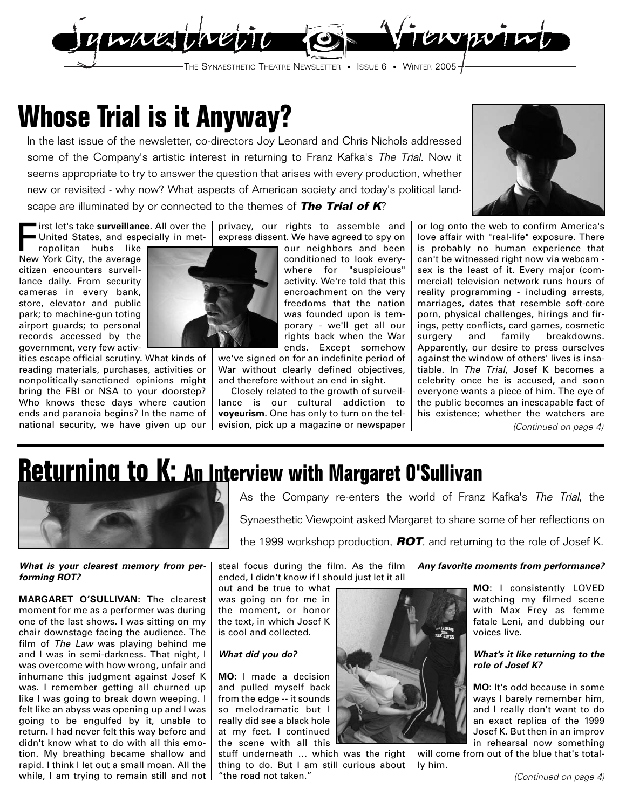

## **Whose Trial is it Anyway?**

In the last issue of the newsletter, co-directors Joy Leonard and Chris Nichols addressed some of the Company's artistic interest in returning to Franz Kafka's The Trial. Now it seems appropriate to try to answer the question that arises with every production, whether new or revisited - why now? What aspects of American society and today's political landscape are illuminated by or connected to the themes of **The Trial of K**?

First let's take **surveillance**. All over the United States, and especially in metprivacy, our rights to assemble and express dissent. We have agreed to spy on

ropolitan hubs like New York City, the average citizen encounters surveillance daily. From security cameras in every bank, store, elevator and public park; to machine-gun toting airport guards; to personal records accessed by the government, very few activ-

ities escape official scrutiny. What kinds of reading materials, purchases, activities or nonpolitically-sanctioned opinions might bring the FBI or NSA to your doorstep? Who knows these days where caution ends and paranoia begins? In the name of national security, we have given up our



our neighbors and been conditioned to look everywhere for "suspicious" activity. We're told that this encroachment on the very freedoms that the nation was founded upon is temporary - we'll get all our rights back when the War ends. Except somehow

we've signed on for an indefinite period of War without clearly defined objectives, and therefore without an end in sight.

Closely related to the growth of surveillance is our cultural addiction to **voyeurism**. One has only to turn on the television, pick up a magazine or newspaper



or log onto the web to confirm America's love affair with "real-life" exposure. There is probably no human experience that can't be witnessed right now via webcam sex is the least of it. Every major (commercial) television network runs hours of reality programming - including arrests, marriages, dates that resemble soft-core porn, physical challenges, hirings and firings, petty conflicts, card games, cosmetic surgery and family breakdowns. Apparently, our desire to press ourselves against the window of others' lives is insatiable. In The Trial, Josef K becomes a celebrity once he is accused, and soon everyone wants a piece of him. The eye of the public becomes an inescapable fact of his existence; whether the watchers are (Continued on page 4)

# **Returning to K: An Interview with Margaret O'Sullivan**



**What is your clearest memory from performing ROT?**

**MARGARET O'SULLIVAN:** The clearest moment for me as a performer was during one of the last shows. I was sitting on my chair downstage facing the audience. The film of The Law was playing behind me and I was in semi-darkness. That night, I was overcome with how wrong, unfair and inhumane this judgment against Josef K was. I remember getting all churned up like I was going to break down weeping. I felt like an abyss was opening up and I was going to be engulfed by it, unable to return. I had never felt this way before and didn't know what to do with all this emotion. My breathing became shallow and rapid. I think I let out a small moan. All the while, I am trying to remain still and not As the Company re-enters the world of Franz Kafka's The Trial, the Synaesthetic Viewpoint asked Margaret to share some of her reflections on

the 1999 workshop production, **ROT**, and returning to the role of Josef K.

steal focus during the film. As the film **Any favorite moments from performance?** ended, I didn't know if I should just let it all out and be true to what

was going on for me in the moment, or honor the text, in which Josef K is cool and collected.

## **What did you do?**

**MO**: I made a decision and pulled myself back from the edge -- it sounds so melodramatic but I really did see a black hole at my feet. I continued the scene with all this

stuff underneath … which was the right thing to do. But I am still curious about "the road not taken."



**MO**: I consistently LOVED watching my filmed scene with Max Frey as femme fatale Leni, and dubbing our voices live.

### **What's it like returning to the role of Josef K?**

**MO**: It's odd because in some ways I barely remember him, and I really don't want to do an exact replica of the 1999 Josef K. But then in an improv in rehearsal now something

will come from out of the blue that's totally him.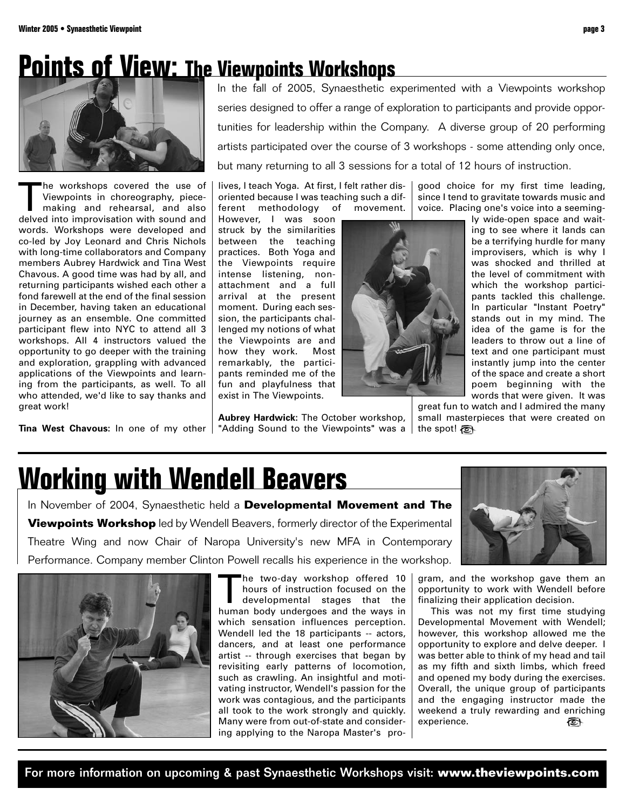## **Points of View: The Viewpoints Workshops**



The workshops covered the use of<br>Viewpoints in choreography, piece-<br>making and rehearsal, and also<br>delved into improvisation with sound and Viewpoints in choreography, piecemaking and rehearsal, and also delved into improvisation with sound and words. Workshops were developed and co-led by Joy Leonard and Chris Nichols with long-time collaborators and Company members Aubrey Hardwick and Tina West Chavous. A good time was had by all, and returning participants wished each other a fond farewell at the end of the final session in December, having taken an educational journey as an ensemble. One committed participant flew into NYC to attend all 3 workshops. All 4 instructors valued the opportunity to go deeper with the training and exploration, grappling with advanced applications of the Viewpoints and learning from the participants, as well. To all who attended, we'd like to say thanks and great work!

**Tina West Chavous:** In one of my other | "Adding Sound to the Viewpoints" was a | the spot!

In the fall of 2005, Synaesthetic experimented with a Viewpoints workshop series designed to offer a range of exploration to participants and provide opportunities for leadership within the Company. A diverse group of 20 performing artists participated over the course of 3 workshops - some attending only once, but many returning to all 3 sessions for a total of 12 hours of instruction.

lives, I teach Yoga. At first, I felt rather disoriented because I was teaching such a different methodology of movement.

However, I was soon struck by the similarities between the teaching practices. Both Yoga and the Viewpoints require intense listening, nonattachment and a full arrival at the present moment. During each session, the participants challenged my notions of what the Viewpoints are and how they work. Most remarkably, the participants reminded me of the fun and playfulness that exist in The Viewpoints.

**Aubrey Hardwick:** The October workshop,



good choice for my first time leading, since I tend to gravitate towards music and voice. Placing one's voice into a seemingly wide-open space and wait-

ing to see where it lands can be a terrifying hurdle for many improvisers, which is why I was shocked and thrilled at the level of commitment with which the workshop participants tackled this challenge. In particular "Instant Poetry" stands out in my mind. The idea of the game is for the leaders to throw out a line of text and one participant must instantly jump into the center of the space and create a short poem beginning with the words that were given. It was

great fun to watch and I admired the many small masterpieces that were created on

## **Working with Wendell Beavers**

In November of 2004, Synaesthetic held a **Developmental Movement and The Viewpoints Workshop** led by Wendell Beavers, formerly director of the Experimental Theatre Wing and now Chair of Naropa University's new MFA in Contemporary Performance. Company member Clinton Powell recalls his experience in the workshop.



The two-day workshop offered 10<br>hours of instruction focused on the<br>developmental stages that the<br>human body undergoes and the ways in hours of instruction focused on the developmental stages that the human body undergoes and the ways in which sensation influences perception. Wendell led the 18 participants -- actors, dancers, and at least one performance artist -- through exercises that began by revisiting early patterns of locomotion, such as crawling. An insightful and motivating instructor, Wendell's passion for the work was contagious, and the participants all took to the work strongly and quickly. Many were from out-of-state and considering applying to the Naropa Master's pro-



gram, and the workshop gave them an opportunity to work with Wendell before finalizing their application decision.

This was not my first time studying Developmental Movement with Wendell; however, this workshop allowed me the opportunity to explore and delve deeper. I was better able to think of my head and tail as my fifth and sixth limbs, which freed and opened my body during the exercises. Overall, the unique group of participants and the engaging instructor made the weekend a truly rewarding and enriching experience. ক্তি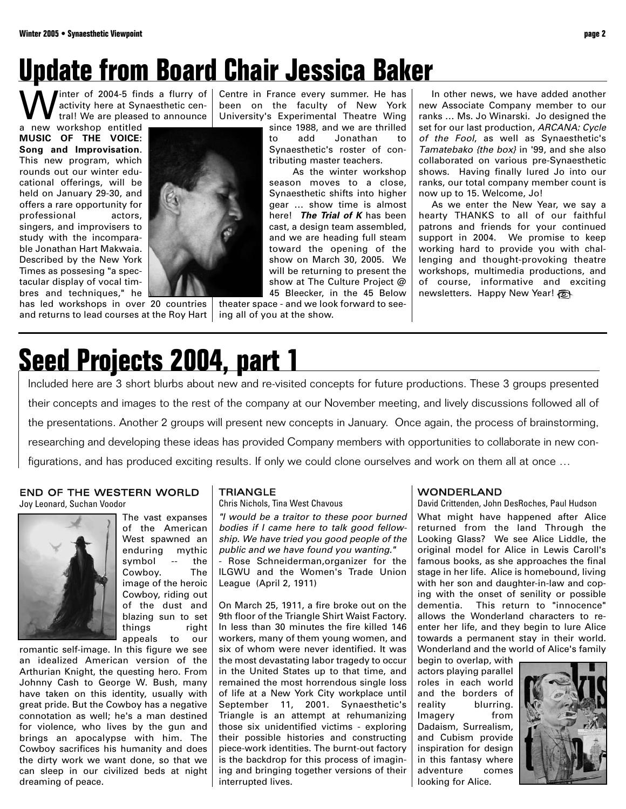# **Update from Board Chair Jessica Baker**

Winter of 2004-5 finds a flurry of<br>trail We are pleased to announce<br>a new workshop entitled activity here at Synaesthetic central! We are pleased to announce

a new workshop entitled **MUSIC OF THE VOICE: Song and Improvisation**. This new program, which rounds out our winter educational offerings, will be held on January 29-30, and offers a rare opportunity for professional actors, singers, and improvisers to study with the incomparable Jonathan Hart Makwaia. Described by the New York Times as possesing "a spectacular display of vocal timbres and techniques," he

has led workshops in over 20 countries | theater space - and we look forward to seeand returns to lead courses at the Roy Hart  $\mid$  ing all of you at the show.

Centre in France every summer. He has been on the faculty of New York University's Experimental Theatre Wing

since 1988, and we are thrilled to add Jonathan to Synaesthetic's roster of contributing master teachers.

As the winter workshop season moves to a close, Synaesthetic shifts into higher gear … show time is almost here! **The Trial of K** has been cast, a design team assembled, and we are heading full steam toward the opening of the show on March 30, 2005. We will be returning to present the show at The Culture Project @ 45 Bleecker, in the 45 Below

In other news, we have added another new Associate Company member to our ranks … Ms. Jo Winarski. Jo designed the set for our last production, ARCANA: Cycle of the Fool, as well as Synaesthetic's Tamatebako {the box} in '99, and she also collaborated on various pre-Synaesthetic shows. Having finally lured Jo into our ranks, our total company member count is now up to 15. Welcome, Jo!

As we enter the New Year, we say a hearty THANKS to all of our faithful patrons and friends for your continued support in 2004. We promise to keep working hard to provide you with challenging and thought-provoking theatre workshops, multimedia productions, and of course, informative and exciting newsletters. Happy New Year!

# **Seed Projects 2004, part 1**

Included here are 3 short blurbs about new and re-visited concepts for future productions. These 3 groups presented their concepts and images to the rest of the company at our November meeting, and lively discussions followed all of the presentations. Another 2 groups will present new concepts in January. Once again, the process of brainstorming, researching and developing these ideas has provided Company members with opportunities to collaborate in new configurations, and has produced exciting results. If only we could clone ourselves and work on them all at once …

## END OF THE WESTERN WORLD

Joy Leonard, Suchan Voodor



The vast expanses of the American West spawned an enduring mythic symbol -- the Cowboy. The image of the heroic Cowboy, riding out of the dust and blazing sun to set things right appeals to our

romantic self-image. In this figure we see an idealized American version of the Arthurian Knight, the questing hero. From Johnny Cash to George W. Bush, many have taken on this identity, usually with great pride. But the Cowboy has a negative connotation as well; he's a man destined for violence, who lives by the gun and brings an apocalypse with him. The Cowboy sacrifices his humanity and does the dirty work we want done, so that we can sleep in our civilized beds at night dreaming of peace.

### **TRIANGLE**

Chris Nichols, Tina West Chavous

"I would be a traitor to these poor burned bodies if I came here to talk good fellowship. We have tried you good people of the public and we have found you wanting."

- Rose Schneiderman,organizer for the ILGWU and the Women's Trade Union League (April 2, 1911)

On March 25, 1911, a fire broke out on the 9th floor of the Triangle Shirt Waist Factory. In less than 30 minutes the fire killed 146 workers, many of them young women, and six of whom were never identified. It was the most devastating labor tragedy to occur in the United States up to that time, and remained the most horrendous single loss of life at a New York City workplace until September 11, 2001. Synaesthetic's Triangle is an attempt at rehumanizing those six unidentified victims - exploring their possible histories and constructing piece-work identities. The burnt-out factory is the backdrop for this process of imagining and bringing together versions of their interrupted lives.

### WONDERLAND

David Crittenden, John DesRoches, Paul Hudson

What might have happened after Alice returned from the land Through the Looking Glass? We see Alice Liddle, the original model for Alice in Lewis Caroll's famous books, as she approaches the final stage in her life. Alice is homebound, living with her son and daughter-in-law and coping with the onset of senility or possible dementia. This return to "innocence" allows the Wonderland characters to reenter her life, and they begin to lure Alice towards a permanent stay in their world. Wonderland and the world of Alice's family

begin to overlap, with actors playing parallel roles in each world and the borders of reality blurring. Imagery from Dadaism, Surrealism, and Cubism provide inspiration for design in this fantasy where adventure comes looking for Alice.